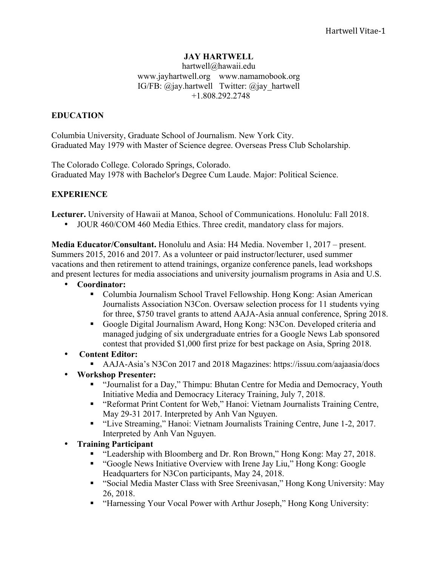# **JAY HARTWELL**

hartwell@hawaii.edu www.jayhartwell.org www.namamobook.org IG/FB: @jay.hartwell Twitter: @jay\_hartwell +1.808.292.2748

### **EDUCATION**

Columbia University, Graduate School of Journalism. New York City. Graduated May 1979 with Master of Science degree. Overseas Press Club Scholarship.

The Colorado College. Colorado Springs, Colorado. Graduated May 1978 with Bachelor's Degree Cum Laude. Major: Political Science.

### **EXPERIENCE**

**Lecturer.** University of Hawaii at Manoa, School of Communications. Honolulu: Fall 2018.

• JOUR 460/COM 460 Media Ethics. Three credit, mandatory class for majors.

**Media Educator/Consultant.** Honolulu and Asia: H4 Media. November 1, 2017 – present. Summers 2015, 2016 and 2017. As a volunteer or paid instructor/lecturer, used summer vacations and then retirement to attend trainings, organize conference panels, lead workshops and present lectures for media associations and university journalism programs in Asia and U.S.

- **Coordinator:** 
	- ! Columbia Journalism School Travel Fellowship. Hong Kong: Asian American Journalists Association N3Con. Oversaw selection process for 11 students vying for three, \$750 travel grants to attend AAJA-Asia annual conference, Spring 2018.
	- ! Google Digital Journalism Award, Hong Kong: N3Con. Developed criteria and managed judging of six undergraduate entries for a Google News Lab sponsored contest that provided \$1,000 first prize for best package on Asia, Spring 2018.
- **Content Editor:**
	- ! AAJA-Asia's N3Con 2017 and 2018 Magazines: https://issuu.com/aajaasia/docs
- **Workshop Presenter:**
	- ! "Journalist for a Day," Thimpu: Bhutan Centre for Media and Democracy, Youth Initiative Media and Democracy Literacy Training, July 7, 2018.
	- ! "Reformat Print Content for Web," Hanoi: Vietnam Journalists Training Centre, May 29-31 2017. Interpreted by Anh Van Nguyen.
	- ! "Live Streaming," Hanoi: Vietnam Journalists Training Centre, June 1-2, 2017. Interpreted by Anh Van Nguyen.
- **Training Participant**
	- ! "Leadership with Bloomberg and Dr. Ron Brown," Hong Kong: May 27, 2018.
	- ! "Google News Initiative Overview with Irene Jay Liu," Hong Kong: Google Headquarters for N3Con participants, May 24, 2018.
	- ! "Social Media Master Class with Sree Sreenivasan," Hong Kong University: May 26, 2018.
	- ! "Harnessing Your Vocal Power with Arthur Joseph," Hong Kong University: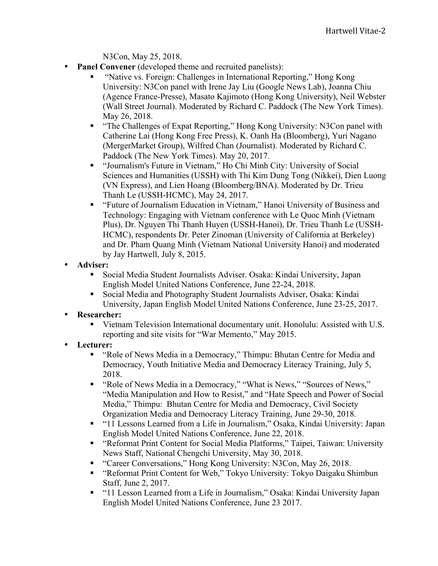N3Con, May 25, 2018.

- **Panel Convener** (developed theme and recruited panelists):
	- ! "Native vs. Foreign: Challenges in International Reporting," Hong Kong University: N3Con panel with Irene Jay Liu (Google News Lab), Joanna Chiu (Agence France-Presse), Masato Kajimoto (Hong Kong University), Neil Webster (Wall Street Journal). Moderated by Richard C. Paddock (The New York Times). May 26, 2018.
	- ! "The Challenges of Expat Reporting," Hong Kong University: N3Con panel with Catherine Lai (Hong Kong Free Press), K. Oanh Ha (Bloomberg), Yuri Nagano (MergerMarket Group), Wilfred Chan (Journalist). Moderated by Richard C. Paddock (The New York Times). May 20, 2017.
	- ! "Journalism's Future in Vietnam," Ho Chi Minh City: University of Social Sciences and Humanities (USSH) with Thi Kim Dung Tong (Nikkei), Dien Luong (VN Express), and Lien Hoang (Bloomberg/BNA). Moderated by Dr. Trieu Thanh Le (USSH-HCMC), May 24, 2017.
	- ! "Future of Journalism Education in Vietnam," Hanoi University of Business and Technology: Engaging with Vietnam conference with Le Quoc Minh (Vietnam Plus), Dr. Nguyen Thi Thanh Huyen (USSH-Hanoi), Dr. Trieu Thanh Le (USSH-HCMC), respondents Dr. Peter Zinoman (University of California at Berkeley) and Dr. Pham Quang Minh (Vietnam National University Hanoi) and moderated by Jay Hartwell, July 8, 2015.
- **Adviser:**
	- ! Social Media Student Journalists Adviser. Osaka: Kindai University, Japan English Model United Nations Conference, June 22-24, 2018.
	- ! Social Media and Photography Student Journalists Adviser, Osaka: Kindai University, Japan English Model United Nations Conference, June 23-25, 2017.
- **Researcher:**
	- ! Vietnam Television International documentary unit. Honolulu: Assisted with U.S. reporting and site visits for "War Memento," May 2015.
- **Lecturer:**
	- ! "Role of News Media in a Democracy," Thimpu: Bhutan Centre for Media and Democracy, Youth Initiative Media and Democracy Literacy Training, July 5, 2018.
	- ! "Role of News Media in a Democracy," "What is News," "Sources of News," "Media Manipulation and How to Resist," and "Hate Speech and Power of Social Media," Thimpu: Bhutan Centre for Media and Democracy, Civil Society Organization Media and Democracy Literacy Training, June 29-30, 2018.
	- ! "11 Lessons Learned from a Life in Journalism," Osaka, Kindai University: Japan English Model United Nations Conference, June 22, 2018.
	- ! "Reformat Print Content for Social Media Platforms," Taipei, Taiwan: University News Staff, National Chengchi University, May 30, 2018.
	- ! "Career Conversations," Hong Kong University: N3Con, May 26, 2018.
	- ! "Reformat Print Content for Web," Tokyo University: Tokyo Daigaku Shimbun Staff, June 2, 2017.
	- ! "11 Lesson Learned from a Life in Journalism," Osaka: Kindai University Japan English Model United Nations Conference, June 23 2017.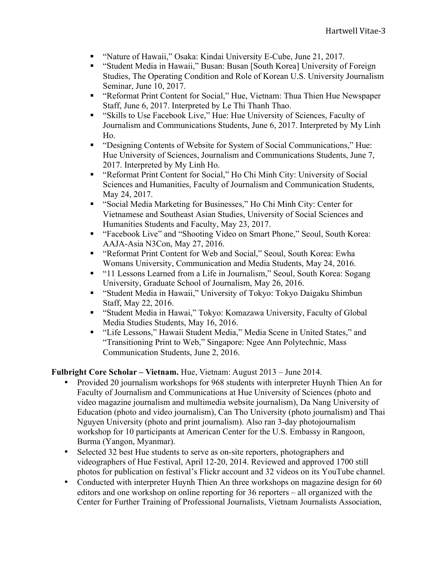- ! "Nature of Hawaii," Osaka: Kindai University E-Cube, June 21, 2017.
- ! "Student Media in Hawaii," Busan: Busan [South Korea] University of Foreign Studies, The Operating Condition and Role of Korean U.S. University Journalism Seminar, June 10, 2017.
- ! "Reformat Print Content for Social," Hue, Vietnam: Thua Thien Hue Newspaper Staff, June 6, 2017. Interpreted by Le Thi Thanh Thao.
- ! "Skills to Use Facebook Live," Hue: Hue University of Sciences, Faculty of Journalism and Communications Students, June 6, 2017. Interpreted by My Linh Ho.
- ! "Designing Contents of Website for System of Social Communications," Hue: Hue University of Sciences, Journalism and Communications Students, June 7, 2017. Interpreted by My Linh Ho.
- ! "Reformat Print Content for Social," Ho Chi Minh City: University of Social Sciences and Humanities, Faculty of Journalism and Communication Students, May 24, 2017.
- ! "Social Media Marketing for Businesses," Ho Chi Minh City: Center for Vietnamese and Southeast Asian Studies, University of Social Sciences and Humanities Students and Faculty, May 23, 2017.
- ! "Facebook Live" and "Shooting Video on Smart Phone," Seoul, South Korea: AAJA-Asia N3Con, May 27, 2016.
- ! "Reformat Print Content for Web and Social," Seoul, South Korea: Ewha Womans University, Communication and Media Students, May 24, 2016.
- ! "11 Lessons Learned from a Life in Journalism," Seoul, South Korea: Sogang University, Graduate School of Journalism, May 26, 2016.
- ! "Student Media in Hawaii," University of Tokyo: Tokyo Daigaku Shimbun Staff, May 22, 2016.
- ! "Student Media in Hawai," Tokyo: Komazawa University, Faculty of Global Media Studies Students, May 16, 2016.
- ! "Life Lessons," Hawaii Student Media," Media Scene in United States," and "Transitioning Print to Web," Singapore: Ngee Ann Polytechnic, Mass Communication Students, June 2, 2016.

**Fulbright Core Scholar – Vietnam.** Hue, Vietnam: August 2013 – June 2014.

- Provided 20 journalism workshops for 968 students with interpreter Huynh Thien An for Faculty of Journalism and Communications at Hue University of Sciences (photo and video magazine journalism and multimedia website journalism), Da Nang University of Education (photo and video journalism), Can Tho University (photo journalism) and Thai Nguyen University (photo and print journalism). Also ran 3-day photojournalism workshop for 10 participants at American Center for the U.S. Embassy in Rangoon, Burma (Yangon, Myanmar).
- Selected 32 best Hue students to serve as on-site reporters, photographers and videographers of Hue Festival, April 12-20, 2014. Reviewed and approved 1700 still photos for publication on festival's Flickr account and 32 videos on its YouTube channel.
- Conducted with interpreter Huynh Thien An three workshops on magazine design for 60 editors and one workshop on online reporting for 36 reporters – all organized with the Center for Further Training of Professional Journalists, Vietnam Journalists Association,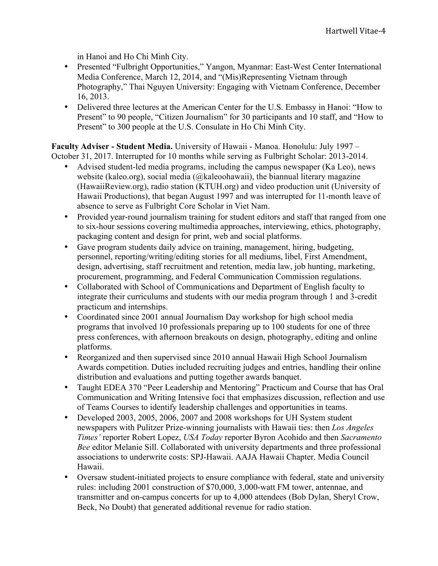in Hanoi and Ho Chi Minh City.

- Presented "Fulbright Opportunities," Yangon, Myanmar: East-West Center International Media Conference, March 12, 2014, and "(Mis)Representing Vietnam through Photography," Thai Nguyen University: Engaging with Vietnam Conference, December 16, 2013.
- Delivered three lectures at the American Center for the U.S. Embassy in Hanoi: "How to Present" to 90 people, "Citizen Journalism" for 30 participants and 10 staff, and "How to Present" to 300 people at the U.S. Consulate in Ho Chi Minh City.

**Faculty Adviser - Student Media.** University of Hawaii - Manoa. Honolulu: July 1997 – October 31, 2017. Interrupted for 10 months while serving as Fulbright Scholar: 2013-2014.

- Advised student-led media programs, including the campus newspaper (Ka Leo), news website (kaleo.org), social media (@kaleoohawaii), the biannual literary magazine (HawaiiReview.org), radio station (KTUH.org) and video production unit (University of Hawaii Productions), that began August 1997 and was interrupted for 11-month leave of absence to serve as Fulbright Core Scholar in Viet Nam.
- Provided year-round journalism training for student editors and staff that ranged from one to six-hour sessions covering multimedia approaches, interviewing, ethics, photography, packaging content and design for print, web and social platforms.
- Gave program students daily advice on training, management, hiring, budgeting, personnel, reporting/writing/editing stories for all mediums, libel, First Amendment, design, advertising, staff recruitment and retention, media law, job hunting, marketing, procurement, programming, and Federal Communication Commission regulations.
- Collaborated with School of Communications and Department of English faculty to integrate their curriculums and students with our media program through 1 and 3-credit practicum and internships.
- Coordinated since 2001 annual Journalism Day workshop for high school media programs that involved 10 professionals preparing up to 100 students for one of three press conferences, with afternoon breakouts on design, photography, editing and online platforms.
- Reorganized and then supervised since 2010 annual Hawaii High School Journalism Awards competition. Duties included recruiting judges and entries, handling their online distribution and evaluations and putting together awards banquet.
- Taught EDEA 370 "Peer Leadership and Mentoring" Practicum and Course that has Oral Communication and Writing Intensive foci that emphasizes discussion, reflection and use of Teams Courses to identify leadership challenges and opportunities in teams.
- Developed 2003, 2005, 2006, 2007 and 2008 workshops for UH System student newspapers with Pulitzer Prize-winning journalists with Hawaii ties: then *Los Angeles Times'* reporter Robert Lopez, *USA Today* reporter Byron Acohido and then *Sacramento Bee* editor Melanie Sill. Collaborated with university departments and three professional associations to underwrite costs: SPJ-Hawaii. AAJA Hawaii Chapter. Media Council Hawaii.
- Oversaw student-initiated projects to ensure compliance with federal, state and university rules: including 2001 construction of \$70,000, 3,000-watt FM tower, antennae, and transmitter and on-campus concerts for up to 4,000 attendees (Bob Dylan, Sheryl Crow, Beck, No Doubt) that generated additional revenue for radio station.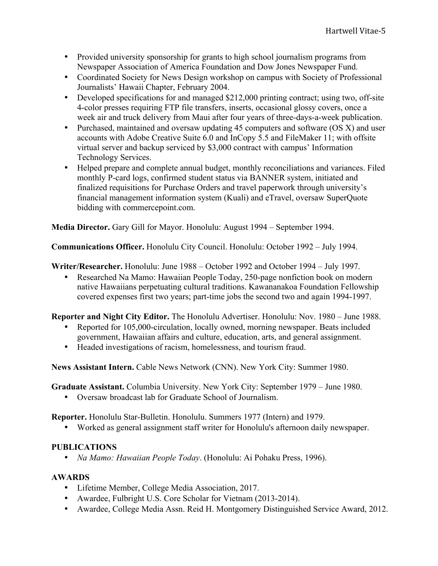- Provided university sponsorship for grants to high school journalism programs from Newspaper Association of America Foundation and Dow Jones Newspaper Fund.
- Coordinated Society for News Design workshop on campus with Society of Professional Journalists' Hawaii Chapter, February 2004.
- Developed specifications for and managed \$212,000 printing contract; using two, off-site 4-color presses requiring FTP file transfers, inserts, occasional glossy covers, once a week air and truck delivery from Maui after four years of three-days-a-week publication.
- Purchased, maintained and oversaw updating 45 computers and software (OS X) and user accounts with Adobe Creative Suite 6.0 and InCopy 5.5 and FileMaker 11; with offsite virtual server and backup serviced by \$3,000 contract with campus' Information Technology Services.
- Helped prepare and complete annual budget, monthly reconciliations and variances. Filed monthly P-card logs, confirmed student status via BANNER system, initiated and finalized requisitions for Purchase Orders and travel paperwork through university's financial management information system (Kuali) and eTravel, oversaw SuperQuote bidding with commercepoint.com.

**Media Director.** Gary Gill for Mayor. Honolulu: August 1994 – September 1994.

**Communications Officer.** Honolulu City Council. Honolulu: October 1992 – July 1994.

**Writer/Researcher.** Honolulu: June 1988 – October 1992 and October 1994 – July 1997.

• Researched Na Mamo: Hawaiian People Today, 250-page nonfiction book on modern native Hawaiians perpetuating cultural traditions. Kawananakoa Foundation Fellowship covered expenses first two years; part-time jobs the second two and again 1994-1997.

**Reporter and Night City Editor.** The Honolulu Advertiser. Honolulu: Nov. 1980 – June 1988.

- Reported for 105,000-circulation, locally owned, morning newspaper. Beats included government, Hawaiian affairs and culture, education, arts, and general assignment.
- Headed investigations of racism, homelessness, and tourism fraud.

**News Assistant Intern.** Cable News Network (CNN). New York City: Summer 1980.

**Graduate Assistant.** Columbia University. New York City: September 1979 – June 1980.

• Oversaw broadcast lab for Graduate School of Journalism.

**Reporter.** Honolulu Star-Bulletin. Honolulu. Summers 1977 (Intern) and 1979.

• Worked as general assignment staff writer for Honolulu's afternoon daily newspaper.

# **PUBLICATIONS**

• *Na Mamo: Hawaiian People Today*. (Honolulu: Ai Pohaku Press, 1996).

# **AWARDS**

- Lifetime Member, College Media Association, 2017.
- Awardee, Fulbright U.S. Core Scholar for Vietnam (2013-2014).
- Awardee, College Media Assn. Reid H. Montgomery Distinguished Service Award, 2012.